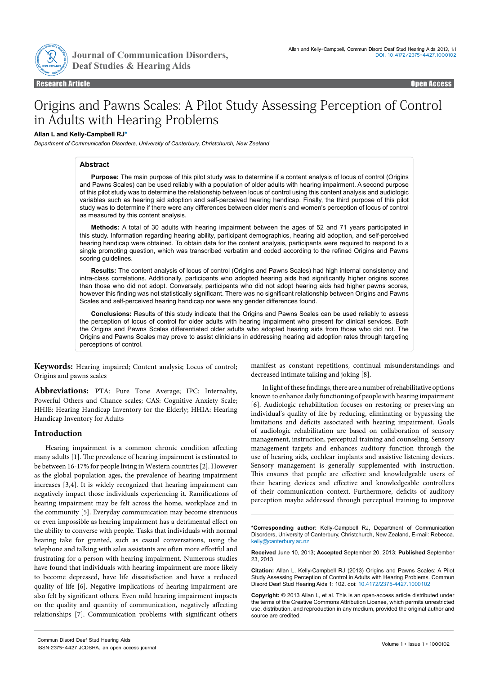

Journal of Communication Disorders,

# Origins and Pawns Scales: A Pilot Study Assessing Perception of Control in Adults with Hearing Problems

#### **Allan L and Kelly-Campbell RJ\***

*Department of Communication Disorders, University of Canterbury, Christchurch, New Zealand*

#### **Abstract**

**Purpose:** The main purpose of this pilot study was to determine if a content analysis of locus of control (Origins and Pawns Scales) can be used reliably with a population of older adults with hearing impairment. A second purpose of this pilot study was to determine the relationship between locus of control using this content analysis and audiologic variables such as hearing aid adoption and self-perceived hearing handicap. Finally, the third purpose of this pilot study was to determine if there were any differences between older men's and women's perception of locus of control as measured by this content analysis.

**Methods:** A total of 30 adults with hearing impairment between the ages of 52 and 71 years participated in this study. Information regarding hearing ability, participant demographics, hearing aid adoption, and self-perceived hearing handicap were obtained. To obtain data for the content analysis, participants were required to respond to a single prompting question, which was transcribed verbatim and coded according to the refined Origins and Pawns scoring guidelines.

**Results:** The content analysis of locus of control (Origins and Pawns Scales) had high internal consistency and intra-class correlations. Additionally, participants who adopted hearing aids had significantly higher origins scores than those who did not adopt. Conversely, participants who did not adopt hearing aids had higher pawns scores, however this finding was not statistically significant. There was no significant relationship between Origins and Pawns Scales and self-perceived hearing handicap nor were any gender differences found.

**Conclusions:** Results of this study indicate that the Origins and Pawns Scales can be used reliably to assess the perception of locus of control for older adults with hearing impairment who present for clinical services. Both the Origins and Pawns Scales differentiated older adults who adopted hearing aids from those who did not. The Origins and Pawns Scales may prove to assist clinicians in addressing hearing aid adoption rates through targeting perceptions of control.

**Keywords:** Hearing impaired; Content analysis; Locus of control; Origins and pawns scales

**Abbreviations:** PTA: Pure Tone Average; IPC: Internality, Powerful Others and Chance scales; CAS: Cognitive Anxiety Scale; HHIE: Hearing Handicap Inventory for the Elderly; HHIA: Hearing Handicap Inventory for Adults

#### **Introduction**

Hearing impairment is a common chronic condition affecting many adults [1]. The prevalence of hearing impairment is estimated to be between 16-17% for people living in Western countries [2]. However as the global population ages, the prevalence of hearing impairment increases [3,4]. It is widely recognized that hearing impairment can negatively impact those individuals experiencing it. Ramifications of hearing impairment may be felt across the home, workplace and in the community [5]. Everyday communication may become strenuous or even impossible as hearing impairment has a detrimental effect on the ability to converse with people. Tasks that individuals with normal hearing take for granted, such as casual conversations, using the telephone and talking with sales assistants are often more effortful and frustrating for a person with hearing impairment. Numerous studies have found that individuals with hearing impairment are more likely to become depressed, have life dissatisfaction and have a reduced quality of life [6]. Negative implications of hearing impairment are also felt by significant others. Even mild hearing impairment impacts on the quality and quantity of communication, negatively affecting relationships [7]. Communication problems with significant others

manifest as constant repetitions, continual misunderstandings and decreased intimate talking and joking [8].

In light of these findings, there are a number of rehabilitative options known to enhance daily functioning of people with hearing impairment [6]. Audiologic rehabilitation focuses on restoring or preserving an individual's quality of life by reducing, eliminating or bypassing the limitations and deficits associated with hearing impairment. Goals of audiologic rehabilitation are based on collaboration of sensory management, instruction, perceptual training and counseling. Sensory management targets and enhances auditory function through the use of hearing aids, cochlear implants and assistive listening devices. Sensory management is generally supplemented with instruction. This ensures that people are effective and knowledgeable users of their hearing devices and effective and knowledgeable controllers of their communication context. Furthermore, deficits of auditory perception maybe addressed through perceptual training to improve

**\*Corresponding author:** Kelly-Campbell RJ, Department of Communication Disorders, University of Canterbury, Christchurch, New Zealand, E-mail: Rebecca. kelly@canterbury.ac.nz

**Received** June 10, 2013; **Accepted** September 20, 2013; **Published** September 23, 2013

**Citation:** Allan L, Kelly-Campbell RJ (2013) Origins and Pawns Scales: A Pilot Study Assessing Perception of Control in Adults with Hearing Problems. Commun Disord Deaf Stud Hearing Aids 1: 102. doi: 10.4172/2375-4427.1000102

**Copyright:** © 2013 Allan L, et al. This is an open-access article distributed under the terms of the Creative Commons Attribution License, which permits unrestricted use, distribution, and reproduction in any medium, provided the original author and source are credited.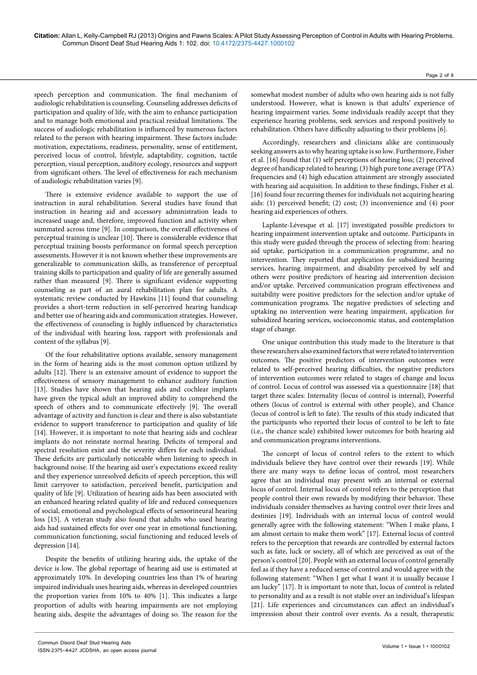speech perception and communication. The final mechanism of audiologic rehabilitation is counseling. Counseling addresses deficits of participation and quality of life, with the aim to enhance participation and to manage both emotional and practical residual limitations. The success of audiologic rehabilitation is influenced by numerous factors related to the person with hearing impairment. These factors include: motivation, expectations, readiness, personality, sense of entitlement, perceived locus of control, lifestyle, adaptability, cognition, tactile perception, visual perception, auditory ecology, resources and support from significant others. The level of effectiveness for each mechanism of audiologic rehabilitation varies [9].

There is extensive evidence available to support the use of instruction in aural rehabilitation. Several studies have found that instruction in hearing aid and accessory administration leads to increased usage and, therefore, improved function and activity when summated across time [9]. In comparison, the overall effectiveness of perceptual training is unclear [10]. There is considerable evidence that perceptual training boosts performance on formal speech perception assessments. However it is not known whether these improvements are generalizable to communication skills, as transference of perceptual training skills to participation and quality of life are generally assumed rather than measured [9]. There is significant evidence supporting counseling as part of an aural rehabilitation plan for adults. A systematic review conducted by Hawkins [11] found that counseling provides a short-term reduction in self-perceived hearing handicap and better use of hearing aids and communication strategies. However, the effectiveness of counseling is highly influenced by characteristics of the individual with hearing loss, rapport with professionals and content of the syllabus [9].

Of the four rehabilitative options available, sensory management in the form of hearing aids is the most common option utilized by adults [12]. There is an extensive amount of evidence to support the effectiveness of sensory management to enhance auditory function [13]. Studies have shown that hearing aids and cochlear implants have given the typical adult an improved ability to comprehend the speech of others and to communicate effectively [9]. The overall advantage of activity and function is clear and there is also substantiate evidence to support transference to participation and quality of life [14]. However, it is important to note that hearing aids and cochlear implants do not reinstate normal hearing. Deficits of temporal and spectral resolution exist and the severity differs for each individual. These deficits are particularly noticeable when listening to speech in background noise. If the hearing aid user's expectations exceed reality and they experience unresolved deficits of speech perception, this will limit carryover to satisfaction, perceived benefit, participation and quality of life [9]. Utilization of hearing aids has been associated with an enhanced hearing related quality of life and reduced consequences of social, emotional and psychological effects of sensorineural hearing loss [15]. A veteran study also found that adults who used hearing aids had sustained effects for over one year in emotional functioning, communication functioning, social functioning and reduced levels of depression [14].

Despite the benefits of utilizing hearing aids, the uptake of the device is low. The global reportage of hearing aid use is estimated at approximately 10%. In developing countries less than 1% of hearing impaired individuals uses hearing aids, whereas in developed countries the proportion varies from 10% to 40% [1]. This indicates a large proportion of adults with hearing impairments are not employing hearing aids, despite the advantages of doing so. The reason for the

somewhat modest number of adults who own hearing aids is not fully understood. However, what is known is that adults' experience of hearing impairment varies. Some individuals readily accept that they experience hearing problems, seek services and respond positively to rehabilitation. Others have difficulty adjusting to their problems [6].

Accordingly, researchers and clinicians alike are continuously seeking answers as to why hearing uptake is so low. Furthermore, Fisher et al. [16] found that (1) self perceptions of hearing loss; (2) perceived degree of handicap related to hearing; (3) high pure tone average (PTA) frequencies and (4) high education attainment are strongly associated with hearing aid acquisition. In addition to these findings, Fisher et al. [16] found four recurring themes for individuals not acquiring hearing aids: (1) perceived benefit; (2) cost; (3) inconvenience and (4) poor hearing aid experiences of others.

Laplante-Lévesque et al. [17] investigated possible predictors to hearing impairment intervention uptake and outcome. Participants in this study were guided through the process of selecting from: hearing aid uptake, participation in a communication programme, and no intervention. They reported that application for subsidized hearing services, hearing impairment, and disability perceived by self and others were positive predictors of hearing aid intervention decision and/or uptake. Perceived communication program effectiveness and suitability were positive predictors for the selection and/or uptake of communication programs. The negative predictors of selecting and uptaking no intervention were hearing impairment, application for subsidized hearing services, socioeconomic status, and contemplation stage of change.

One unique contribution this study made to the literature is that these researchers also examined factors that were related to intervention outcomes. The positive predictors of intervention outcomes were related to self-perceived hearing difficulties, the negative predictors of intervention outcomes were related to stages of change and locus of control. Locus of control was assessed via a questionnaire [18] that target three scales: Internality (locus of control is internal), Powerful others (locus of control is external with other people), and Chance (locus of control is left to fate). The results of this study indicated that the participants who reported their locus of control to be left to fate (i.e., the chance scale) exhibited lower outcomes for both hearing aid and communication programs interventions.

The concept of locus of control refers to the extent to which individuals believe they have control over their rewards [19]. While there are many ways to define locus of control, most researchers agree that an individual may present with an internal or external locus of control. Internal locus of control refers to the perception that people control their own rewards by modifying their behavior. These individuals consider themselves as having control over their lives and destinies [19]. Individuals with an internal locus of control would generally agree with the following statement: "When I make plans, I am almost certain to make them work" [17]. External locus of control refers to the perception that rewards are controlled by external factors such as fate, luck or society, all of which are perceived as out of the person's control [20]. People with an external locus of control generally feel as if they have a reduced sense of control and would agree with the following statement: "When I get what I want it is usually because I am lucky" [17]. It is important to note that, locus of control is related to personality and as a result is not stable over an individual's lifespan [21]. Life experiences and circumstances can affect an individual's impression about their control over events. As a result, therapeutic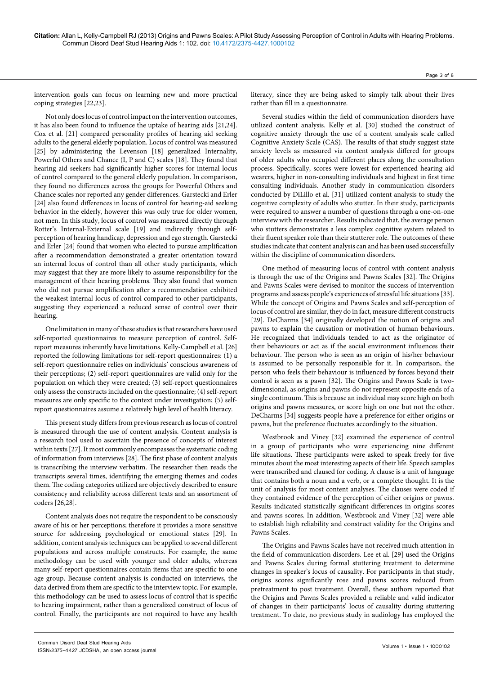intervention goals can focus on learning new and more practical coping strategies [22,23].

Not only does locus of control impact on the intervention outcomes, it has also been found to influence the uptake of hearing aids [21,24]. Cox et al. [21] compared personality profiles of hearing aid seeking adults to the general elderly population. Locus of control was measured [25] by administering the Levenson [18] generalized Internality, Powerful Others and Chance (I, P and C) scales [18]. They found that hearing aid seekers had significantly higher scores for internal locus of control compared to the general elderly population. In comparison, they found no differences across the groups for Powerful Others and Chance scales nor reported any gender differences. Garstecki and Erler [24] also found differences in locus of control for hearing-aid seeking behavior in the elderly, however this was only true for older women, not men. In this study, locus of control was measured directly through Rotter's Internal-External scale [19] and indirectly through selfperception of hearing handicap, depression and ego strength. Garstecki and Erler [24] found that women who elected to pursue amplification after a recommendation demonstrated a greater orientation toward an internal locus of control than all other study participants, which may suggest that they are more likely to assume responsibility for the management of their hearing problems. They also found that women who did not pursue amplification after a recommendation exhibited the weakest internal locus of control compared to other participants, suggesting they experienced a reduced sense of control over their hearing.

One limitation in many of these studies is that researchers have used self-reported questionnaires to measure perception of control. Selfreport measures inherently have limitations. Kelly-Campbell et al. [26] reported the following limitations for self-report questionnaires: (1) a self-report questionnaire relies on individuals' conscious awareness of their perceptions; (2) self-report questionnaires are valid only for the population on which they were created; (3) self-report questionnaires only assess the constructs included on the questionnaire; (4) self-report measures are only specific to the context under investigation; (5) selfreport questionnaires assume a relatively high level of health literacy.

This present study differs from previous research as locus of control is measured through the use of content analysis. Content analysis is a research tool used to ascertain the presence of concepts of interest within texts [27]. It most commonly encompasses the systematic coding of information from interviews [28]. The first phase of content analysis is transcribing the interview verbatim. The researcher then reads the transcripts several times, identifying the emerging themes and codes them. The coding categories utilized are objectively described to ensure consistency and reliability across different texts and an assortment of coders [26,28].

Content analysis does not require the respondent to be consciously aware of his or her perceptions; therefore it provides a more sensitive source for addressing psychological or emotional states [29]. In addition, content analysis techniques can be applied to several different populations and across multiple constructs. For example, the same methodology can be used with younger and older adults, whereas many self-report questionnaires contain items that are specific to one age group. Because content analysis is conducted on interviews, the data derived from them are specific to the interview topic. For example, this methodology can be used to assess locus of control that is specific to hearing impairment, rather than a generalized construct of locus of control. Finally, the participants are not required to have any health

literacy, since they are being asked to simply talk about their lives rather than fill in a questionnaire.

Several studies within the field of communication disorders have utilized content analysis. Kelly et al. [30] studied the construct of cognitive anxiety through the use of a content analysis scale called Cognitive Anxiety Scale (CAS). The results of that study suggest state anxiety levels as measured via content analysis differed for groups of older adults who occupied different places along the consultation process. Specifically, scores were lowest for experienced hearing aid wearers, higher in non-consulting individuals and highest in first time consulting individuals. Another study in communication disorders conducted by DiLillo et al. [31] utilized content analysis to study the cognitive complexity of adults who stutter. In their study, participants were required to answer a number of questions through a one-on-one interview with the researcher. Results indicated that, the average person who stutters demonstrates a less complex cognitive system related to their fluent speaker role than their stutterer role. The outcomes of these studies indicate that content analysis can and has been used successfully within the discipline of communication disorders.

One method of measuring locus of control with content analysis is through the use of the Origins and Pawns Scales [32]. The Origins and Pawns Scales were devised to monitor the success of intervention programs and assess people's experiences of stressful life situations [33]. While the concept of Origins and Pawns Scales and self-perception of locus of control are similar, they do in fact, measure different constructs [29]. DeCharms [34] originally developed the notion of origins and pawns to explain the causation or motivation of human behaviours. He recognized that individuals tended to act as the originator of their behaviours or act as if the social environment influences their behaviour. The person who is seen as an origin of his/her behaviour is assumed to be personally responsible for it. In comparison, the person who feels their behaviour is influenced by forces beyond their control is seen as a pawn [32]. The Origins and Pawns Scale is twodimensional, as origins and pawns do not represent opposite ends of a single continuum. This is because an individual may score high on both origins and pawns measures, or score high on one but not the other. DeCharms [34] suggests people have a preference for either origins or pawns, but the preference fluctuates accordingly to the situation.

Westbrook and Viney [32] examined the experience of control in a group of participants who were experiencing nine different life situations. These participants were asked to speak freely for five minutes about the most interesting aspects of their life. Speech samples were transcribed and claused for coding. A clause is a unit of language that contains both a noun and a verb, or a complete thought. It is the unit of analysis for most content analyses. The clauses were coded if they contained evidence of the perception of either origins or pawns. Results indicated statistically significant differences in origins scores and pawns scores. In addition, Westbrook and Viney [32] were able to establish high reliability and construct validity for the Origins and Pawns Scales.

The Origins and Pawns Scales have not received much attention in the field of communication disorders. Lee et al. [29] used the Origins and Pawns Scales during formal stuttering treatment to determine changes in speaker's locus of causality. For participants in that study, origins scores significantly rose and pawns scores reduced from pretreatment to post treatment. Overall, these authors reported that the Origins and Pawns Scales provided a reliable and valid indicator of changes in their participants' locus of causality during stuttering treatment. To date, no previous study in audiology has employed the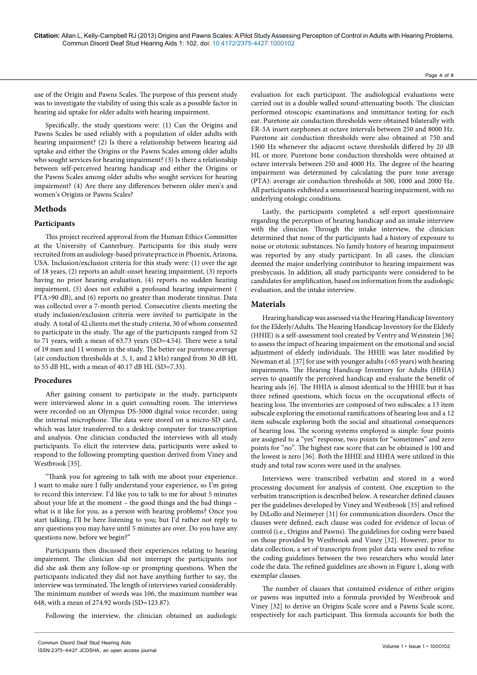use of the Origin and Pawns Scales. The purpose of this present study was to investigate the viability of using this scale as a possible factor in hearing aid uptake for older adults with hearing impairment.

Specifically, the study questions were: (1) Can the Origins and Pawns Scales be used reliably with a population of older adults with hearing impairment? (2) Is there a relationship between hearing aid uptake and either the Origins or the Pawns Scales among older adults who sought services for hearing impairment? (3) Is there a relationship between self-perceived hearing handicap and either the Origins or the Pawns Scales among older adults who sought services for hearing impairment? (4) Are there any differences between older men's and women's Origins or Pawns Scales?

# **Methods**

## **Participants**

This project received approval from the Human Ethics Committee at the University of Canterbury. Participants for this study were recruited from an audiology-based private practice in Phoenix, Arizona, USA. Inclusion/exclusion criteria for this study were: (1) over the age of 18 years, (2) reports an adult-onset hearing impairment, (3) reports having no prior hearing evaluation, (4) reports no sudden hearing impairment, (5) does not exhibit a profound hearing impairment ( PTA>90 dB), and (6) reports no greater than moderate tinnitus. Data was collected over a 7-month period. Consecutive clients meeting the study inclusion/exclusion criteria were invited to participate in the study. A total of 42 clients met the study criteria, 30 of whom consented to participate in the study. The age of the participants ranged from 52 to 71 years, with a mean of 63.73 years (SD=4.54). There were a total of 19 men and 11 women in the study. The better ear puretone average (air conduction thresholds at .5, 1, and 2 kHz) ranged from 30 dB HL to 55 dB HL, with a mean of 40.17 dB HL (SD=7.33).

# **Procedures**

After gaining consent to participate in the study, participants were interviewed alone in a quiet consulting room. The interviews were recorded on an Olympus DS-5000 digital voice recorder, using the internal microphone. The data were stored on a micro-SD card, which was later transferred to a desktop computer for transcription and analysis. One clinician conducted the interviews with all study participants. To elicit the interview data, participants were asked to respond to the following prompting question derived from Viney and Westbrook [35].

"Thank you for agreeing to talk with me about your experience. I want to make sure I fully understand your experience, so I'm going to record this interview. I'd like you to talk to me for about 5 minutes about your life at the moment – the good things and the bad things – what is it like for you, as a person with hearing problems? Once you start talking, I'll be here listening to you; but I'd rather not reply to any questions you may have until 5 minutes are over. Do you have any questions now, before we begin?"

Participants then discussed their experiences relating to hearing impairment. The clinician did not interrupt the participants nor did she ask them any follow-up or prompting questions. When the participants indicated they did not have anything further to say, the interview was terminated. The length of interviews varied considerably. The minimum number of words was 106, the maximum number was 648, with a mean of 274.92 words (SD=123.87).

Following the interview, the clinician obtained an audiologic

evaluation for each participant. The audiological evaluations were carried out in a double walled sound-attenuating booth. The clinician performed otoscopic examinations and immittance testing for each ear. Puretone air conduction thresholds were obtained bilaterally with ER-3A insert earphones at octave intervals between 250 and 8000 Hz. Puretone air conduction thresholds were also obtained at 750 and 1500 Hz whenever the adjacent octave thresholds differed by 20 dB HL or more. Puretone bone conduction thresholds were obtained at octave intervals between 250 and 4000 Hz. The degree of the hearing impairment was determined by calculating the pure tone average (PTA): average air conduction thresholds at 500, 1000 and 2000 Hz. All participants exhibited a sensorineural hearing impairment, with no underlying otologic conditions.

Lastly, the participants completed a self-report questionnaire regarding the perception of hearing handicap and an intake interview with the clinician. Through the intake interview, the clinician determined that none of the participants had a history of exposure to noise or ototoxic substances. No family history of hearing impairment was reported by any study participant. In all cases, the clinician deemed the major underlying contributor to hearing impairment was presbycusis. In addition, all study participants were considered to be candidates for amplification, based on information from the audiologic evaluation, and the intake interview.

# **Materials**

Hearing handicap was assessed via the Hearing Handicap Inventory for the Elderly/Adults. The Hearing Handicap Inventory for the Elderly (HHIE) is a self-assessment tool created by Ventry and Weinstein [36] to assess the impact of hearing impairment on the emotional and social adjustment of elderly individuals. The HHIE was later modified by Newman et al. [37] for use with younger adults (<65 years) with hearing impairments. The Hearing Handicap Inventory for Adults (HHIA) serves to quantify the perceived handicap and evaluate the benefit of hearing aids [6]. The HHIA is almost identical to the HHIE but it has three refined questions, which focus on the occupational effects of hearing loss. The inventories are composed of two subscales: a 13 item subscale exploring the emotional ramifications of hearing loss and a 12 item subscale exploring both the social and situational consequences of hearing loss. The scoring systems employed is simple: four points are assigned to a "yes" response, two points for "sometimes" and zero points for "no". The highest raw score that can be obtained is 100 and the lowest is zero [36]. Both the HHIE and HHIA were utilized in this study and total raw scores were used in the analyses.

Interviews were transcribed verbatim and stored in a word processing document for analysis of content. One exception to the verbatim transcription is described below. A researcher defined clauses per the guidelines developed by Viney and Westbrook [35] and refined by DiLollo and Neimeyer [31] for communication disorders. Once the clauses were defined, each clause was coded for evidence of locus of control (i.e., Origins and Pawns). The guidelines for coding were based on those provided by Westbrook and Viney [32]. However, prior to data collection, a set of transcripts from pilot data were used to refine the coding guidelines between the two researchers who would later code the data. The refined guidelines are shown in Figure 1, along with exemplar clauses.

The number of clauses that contained evidence of either origins or pawns was inputted into a formula provided by Westbrook and Viney [32] to derive an Origins Scale score and a Pawns Scale score, respectively for each participant. This formula accounts for both the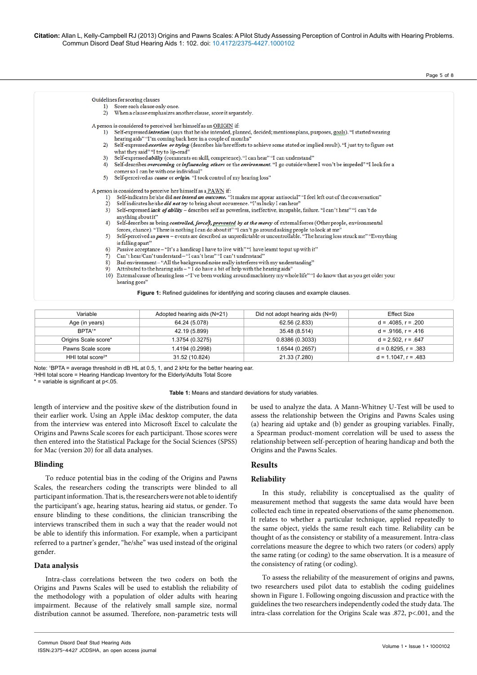**Citation:** Allan L, Kelly-Campbell RJ (2013) Origins and Pawns Scales: A Pilot Study Assessing Perception of Control in Adults with Hearing Problems. Commun Disord Deaf Stud Hearing Aids 1: 102. doi: 10.4172/2375-4427.1000102

|                                                              | Guidelines for scoring clauses                                                                                                                                                            |  |  |  |
|--------------------------------------------------------------|-------------------------------------------------------------------------------------------------------------------------------------------------------------------------------------------|--|--|--|
| $_{1}$                                                       | Score each clause only once.                                                                                                                                                              |  |  |  |
| 2)                                                           | When a clause emphasizes another clause, score it separately.                                                                                                                             |  |  |  |
|                                                              | A person is considered to perceived her/himself as an ORIGIN if:                                                                                                                          |  |  |  |
| $\mathbf{D}$                                                 | Self-expressed intention (says that he/she intended, planned, decided; mentions plans, purposes, goals). "I started wearing<br>hearing aids" "I'm coming back here in a couple of months" |  |  |  |
|                                                              | 2) Self-expressed exertion or trying (describes his/her efforts to achieve some stated or implied result). "I just try to figure out                                                      |  |  |  |
|                                                              | what they said" "I try to lip-read"                                                                                                                                                       |  |  |  |
|                                                              | 3) Self-expressed <i>ability</i> (comments on skill, competence). "I can hear" "I can understand"                                                                                         |  |  |  |
| 4)                                                           | Self-describes overcoming or influencing others or the environment. "I go outside where I won't be impeded" "I look for a<br>corner so I can be with one individual"                      |  |  |  |
|                                                              | Self-perceived as <i>cause</i> or <i>origin</i> . "I took control of my hearing loss"                                                                                                     |  |  |  |
| 5)                                                           |                                                                                                                                                                                           |  |  |  |
| A person is considered to perceive her/himself as a PAWN if: |                                                                                                                                                                                           |  |  |  |
|                                                              | 1) Self-indicates he/she did not intend an outcome. "It makes me appear antisocial" "I feel left out of the conversation"                                                                 |  |  |  |
|                                                              | 2) Self indicates he/she <i>did not try</i> to bring about occurrence. "I'm lucky I can hear"                                                                                             |  |  |  |
| 3)                                                           | Self-expressed lack of ability - describes self as powerless, ineffective, incapable, failure. "I can't hear" "I can't do                                                                 |  |  |  |
|                                                              | anything about it"                                                                                                                                                                        |  |  |  |
| 4)                                                           | Self-describes as being controlled, force, prevented by at the mercy of external forces (Other people, environmental                                                                      |  |  |  |
|                                                              | forces, chance). "There is nothing I can do about it" "I can't go around asking people to look at me"                                                                                     |  |  |  |
|                                                              | 5) Self-perceived as pawn – events are described as unpredictable or uncontrollable. "The hearing loss struck me" "Everything                                                             |  |  |  |
|                                                              | is falling apart"                                                                                                                                                                         |  |  |  |
|                                                              | 6) Passive acceptance - "It's a handicap I have to live with" "I have learnt to put up with it"                                                                                           |  |  |  |
|                                                              | 7) Can't hear/Can't understand - "I can't hear" "I can't understand"                                                                                                                      |  |  |  |
|                                                              | 8) Bad environment - "All the background noise really interferes with my understanding"                                                                                                   |  |  |  |
| 9)                                                           | Attributed to the hearing aids – "I do have a bit of help with the hearing aids"                                                                                                          |  |  |  |
|                                                              | 10) External cause of hearing loss -"I've been working around machinery my whole life" "I do know that as you get older your                                                              |  |  |  |
|                                                              | hearing goes"                                                                                                                                                                             |  |  |  |
|                                                              | Figure 1: Refined guidelines for identifying and scoring clauses and example clauses.                                                                                                     |  |  |  |

| Variable             | Adopted hearing aids (N=21) | Did not adopt hearing aids (N=9) | <b>Effect Size</b>        |
|----------------------|-----------------------------|----------------------------------|---------------------------|
| Age (in years)       | 64.24 (5.078)               | 62.56 (2.833)                    | $d = .4085$ , r = .200    |
| BPTA <sup>1*</sup>   | 42.19 (5.899)               | 35.48 (8.514)                    | $d = .9166$ , r = .416    |
| Origins Scale score* | 1.3754 (0.3275)             | 0.8386 (0.3033)                  | $d = 2.502$ . r = .647    |
| Pawns Scale score    | 1.4194 (0.2998)             | 1.6544 (0.2657)                  | $d = 0.8295$ , $r = .383$ |
| HHI total score $2*$ | 31.52 (10.824)              | 21.33 (7.280)                    | $d = 1.1047$ , $r = .483$ |

Note: 1 BPTA = average threshold in dB HL at 0.5, 1, and 2 kHz for the better hearing ear. 2 HHI total score = Hearing Handicap Inventory for the Elderly/Adults Total Score

 $*$  = variable is significant at  $p$ <.05.

**Table 1:** Means and standard deviations for study variables.

length of interview and the positive skew of the distribution found in their earlier work. Using an Apple iMac desktop computer, the data from the interview was entered into Microsoft Excel to calculate the Origins and Pawns Scale scores for each participant. Those scores were then entered into the Statistical Package for the Social Sciences (SPSS) for Mac (version 20) for all data analyses.

# **Blinding**

To reduce potential bias in the coding of the Origins and Pawns Scales, the researchers coding the transcripts were blinded to all participant information. That is, the researchers were not able to identify the participant's age, hearing status, hearing aid status, or gender. To ensure blinding to these conditions, the clinician transcribing the interviews transcribed them in such a way that the reader would not be able to identify this information. For example, when a participant referred to a partner's gender, "he/she" was used instead of the original gender.

## **Data analysis**

Intra-class correlations between the two coders on both the Origins and Pawns Scales will be used to establish the reliability of the methodology with a population of older adults with hearing impairment. Because of the relatively small sample size, normal distribution cannot be assumed. Therefore, non-parametric tests will be used to analyze the data. A Mann-Whitney U-Test will be used to assess the relationship between the Origins and Pawns Scales using (a) hearing aid uptake and (b) gender as grouping variables. Finally, a Spearman product-moment correlation will be used to assess the relationship between self-perception of hearing handicap and both the Origins and the Pawns Scales.

## **Results**

## **Reliability**

In this study, reliability is conceptualised as the quality of measurement method that suggests the same data would have been collected each time in repeated observations of the same phenomenon. It relates to whether a particular technique, applied repeatedly to the same object, yields the same result each time. Reliability can be thought of as the consistency or stability of a measurement. Intra-class correlations measure the degree to which two raters (or coders) apply the same rating (or coding) to the same observation. It is a measure of the consistency of rating (or coding).

To assess the reliability of the measurement of origins and pawns, two researchers used pilot data to establish the coding guidelines shown in Figure 1. Following ongoing discussion and practice with the guidelines the two researchers independently coded the study data. The intra-class correlation for the Origins Scale was .872, p<.001, and the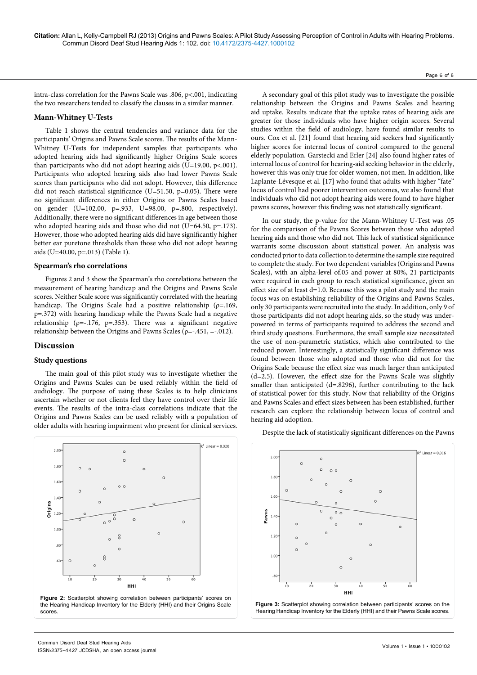intra-class correlation for the Pawns Scale was .806, p<.001, indicating the two researchers tended to classify the clauses in a similar manner.

#### **Mann-Whitney U-Tests**

Table 1 shows the central tendencies and variance data for the participants' Origins and Pawns Scale scores. The results of the Mann-Whitney U-Tests for independent samples that participants who adopted hearing aids had significantly higher Origins Scale scores than participants who did not adopt hearing aids (U=19.00,  $p$ <.001). Participants who adopted hearing aids also had lower Pawns Scale scores than participants who did not adopt. However, this difference did not reach statistical significance (U=51.50, p=0.05). There were no significant differences in either Origins or Pawns Scales based on gender (U=102.00, p=.933, U=98.00, p=.800, respectively). Additionally, there were no significant differences in age between those who adopted hearing aids and those who did not (U=64.50, p=.173). However, those who adopted hearing aids did have significantly higher better ear puretone thresholds than those who did not adopt hearing aids (U=40.00, p=.013) (Table 1).

## **Spearman's rho correlations**

Figures 2 and 3 show the Spearman's rho correlations between the measurement of hearing handicap and the Origins and Pawns Scale scores. Neither Scale score was significantly correlated with the hearing handicap. The Origins Scale had a positive relationship ( $\rho$ =.169, p=.372) with hearing handicap while the Pawns Scale had a negative relationship ( $p=-176$ ,  $p=.353$ ). There was a significant negative relationship between the Origins and Pawns Scales ( $\rho$ =-.451, =-.012).

#### **Discussion**

## **Study questions**

The main goal of this pilot study was to investigate whether the Origins and Pawns Scales can be used reliably within the field of audiology. The purpose of using these Scales is to help clinicians ascertain whether or not clients feel they have control over their life events. The results of the intra-class correlations indicate that the Origins and Pawns Scales can be used reliably with a population of older adults with hearing impairment who present for clinical services.



A secondary goal of this pilot study was to investigate the possible relationship between the Origins and Pawns Scales and hearing aid uptake. Results indicate that the uptake rates of hearing aids are greater for those individuals who have higher origin scores. Several studies within the field of audiology, have found similar results to ours. Cox et al. [21] found that hearing aid seekers had significantly higher scores for internal locus of control compared to the general elderly population. Garstecki and Erler [24] also found higher rates of internal locus of control for hearing-aid seeking behavior in the elderly, however this was only true for older women, not men. In addition, like Laplante-Lévesque et al. [17] who found that adults with higher "fate" locus of control had poorer intervention outcomes, we also found that individuals who did not adopt hearing aids were found to have higher pawns scores, however this finding was not statistically significant.

In our study, the p-value for the Mann-Whitney U-Test was .05 for the comparison of the Pawns Scores between those who adopted hearing aids and those who did not. This lack of statistical significance warrants some discussion about statistical power. An analysis was conducted prior to data collection to determine the sample size required to complete the study. For two dependent variables (Origins and Pawns Scales), with an alpha-level of.05 and power at 80%, 21 participants were required in each group to reach statistical significance, given an effect size of at least d=1.0. Because this was a pilot study and the main focus was on establishing reliability of the Origins and Pawns Scales, only 30 participants were recruited into the study. In addition, only 9 of those participants did not adopt hearing aids, so the study was underpowered in terms of participants required to address the second and third study questions. Furthermore, the small sample size necessitated the use of non-parametric statistics, which also contributed to the reduced power. Interestingly, a statistically significant difference was found between those who adopted and those who did not for the Origins Scale because the effect size was much larger than anticipated (d=2.5). However, the effect size for the Pawns Scale was slightly smaller than anticipated  $(d=.8296)$ , further contributing to the lack of statistical power for this study. Now that reliability of the Origins and Pawns Scales and effect sizes between has been established, further research can explore the relationship between locus of control and hearing aid adoption.

Despite the lack of statistically significant differences on the Pawns



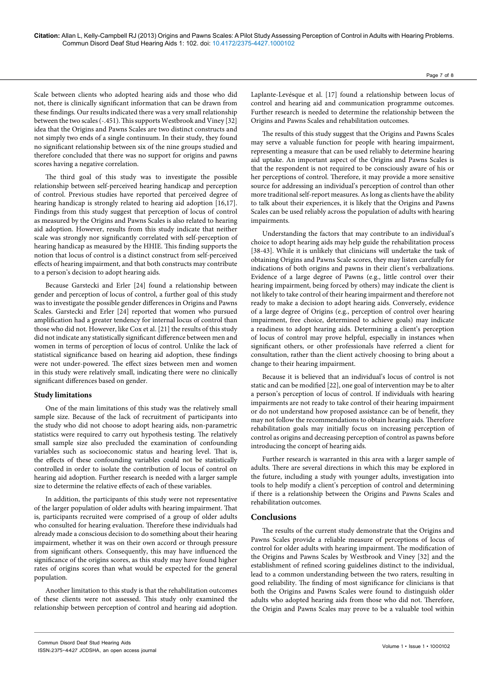**Citation:** Allan L, Kelly-Campbell RJ (2013) Origins and Pawns Scales: A Pilot Study Assessing Perception of Control in Adults with Hearing Problems. Commun Disord Deaf Stud Hearing Aids 1: 102. doi: 10.4172/2375-4427.1000102

Scale between clients who adopted hearing aids and those who did not, there is clinically significant information that can be drawn from these findings. Our results indicated there was a very small relationship between the two scales (-.451). This supports Westbrook and Viney [32] idea that the Origins and Pawns Scales are two distinct constructs and not simply two ends of a single continuum. In their study, they found no significant relationship between six of the nine groups studied and therefore concluded that there was no support for origins and pawns scores having a negative correlation.

The third goal of this study was to investigate the possible relationship between self-perceived hearing handicap and perception of control. Previous studies have reported that perceived degree of hearing handicap is strongly related to hearing aid adoption [16,17]. Findings from this study suggest that perception of locus of control as measured by the Origins and Pawns Scales is also related to hearing aid adoption. However, results from this study indicate that neither scale was strongly nor significantly correlated with self-perception of hearing handicap as measured by the HHIE. This finding supports the notion that locus of control is a distinct construct from self-perceived effects of hearing impairment, and that both constructs may contribute to a person's decision to adopt hearing aids.

Because Garstecki and Erler [24] found a relationship between gender and perception of locus of control, a further goal of this study was to investigate the possible gender differences in Origins and Pawns Scales. Garstecki and Erler [24] reported that women who pursued amplification had a greater tendency for internal locus of control than those who did not. However, like Cox et al. [21] the results of this study did not indicate any statistically significant difference between men and women in terms of perception of locus of control. Unlike the lack of statistical significance based on hearing aid adoption, these findings were not under-powered. The effect sizes between men and women in this study were relatively small, indicating there were no clinically significant differences based on gender.

#### **Study limitations**

One of the main limitations of this study was the relatively small sample size. Because of the lack of recruitment of participants into the study who did not choose to adopt hearing aids, non-parametric statistics were required to carry out hypothesis testing. The relatively small sample size also precluded the examination of confounding variables such as socioeconomic status and hearing level. That is, the effects of these confounding variables could not be statistically controlled in order to isolate the contribution of locus of control on hearing aid adoption. Further research is needed with a larger sample size to determine the relative effects of each of these variables.

In addition, the participants of this study were not representative of the larger population of older adults with hearing impairment. That is, participants recruited were comprised of a group of older adults who consulted for hearing evaluation. Therefore these individuals had already made a conscious decision to do something about their hearing impairment, whether it was on their own accord or through pressure from significant others. Consequently, this may have influenced the significance of the origins scores, as this study may have found higher rates of origins scores than what would be expected for the general population.

Another limitation to this study is that the rehabilitation outcomes of these clients were not assessed. This study only examined the relationship between perception of control and hearing aid adoption. Laplante-Levésque et al. [17] found a relationship between locus of control and hearing aid and communication programme outcomes. Further research is needed to determine the relationship between the Origins and Pawns Scales and rehabilitation outcomes.

The results of this study suggest that the Origins and Pawns Scales may serve a valuable function for people with hearing impairment, representing a measure that can be used reliably to determine hearing aid uptake. An important aspect of the Origins and Pawns Scales is that the respondent is not required to be consciously aware of his or her perceptions of control. Therefore, it may provide a more sensitive source for addressing an individual's perception of control than other more traditional self-report measures. As long as clients have the ability to talk about their experiences, it is likely that the Origins and Pawns Scales can be used reliably across the population of adults with hearing impairments.

Understanding the factors that may contribute to an individual's choice to adopt hearing aids may help guide the rehabilitation process [38-43]. While it is unlikely that clinicians will undertake the task of obtaining Origins and Pawns Scale scores, they may listen carefully for indications of both origins and pawns in their client's verbalizations. Evidence of a large degree of Pawns (e.g., little control over their hearing impairment, being forced by others) may indicate the client is not likely to take control of their hearing impairment and therefore not ready to make a decision to adopt hearing aids. Conversely, evidence of a large degree of Origins (e.g., perception of control over hearing impairment, free choice, determined to achieve goals) may indicate a readiness to adopt hearing aids. Determining a client's perception of locus of control may prove helpful, especially in instances when significant others, or other professionals have referred a client for consultation, rather than the client actively choosing to bring about a change to their hearing impairment.

Because it is believed that an individual's locus of control is not static and can be modified [22], one goal of intervention may be to alter a person's perception of locus of control. If individuals with hearing impairments are not ready to take control of their hearing impairment or do not understand how proposed assistance can be of benefit, they may not follow the recommendations to obtain hearing aids. Therefore rehabilitation goals may initially focus on increasing perception of control as origins and decreasing perception of control as pawns before introducing the concept of hearing aids.

Further research is warranted in this area with a larger sample of adults. There are several directions in which this may be explored in the future, including a study with younger adults, investigation into tools to help modify a client's perception of control and determining if there is a relationship between the Origins and Pawns Scales and rehabilitation outcomes.

#### **Conclusions**

The results of the current study demonstrate that the Origins and Pawns Scales provide a reliable measure of perceptions of locus of control for older adults with hearing impairment. The modification of the Origins and Pawns Scales by Westbrook and Viney [32] and the establishment of refined scoring guidelines distinct to the individual, lead to a common understanding between the two raters, resulting in good reliability. The finding of most significance for clinicians is that both the Origins and Pawns Scales were found to distinguish older adults who adopted hearing aids from those who did not. Therefore, the Origin and Pawns Scales may prove to be a valuable tool within